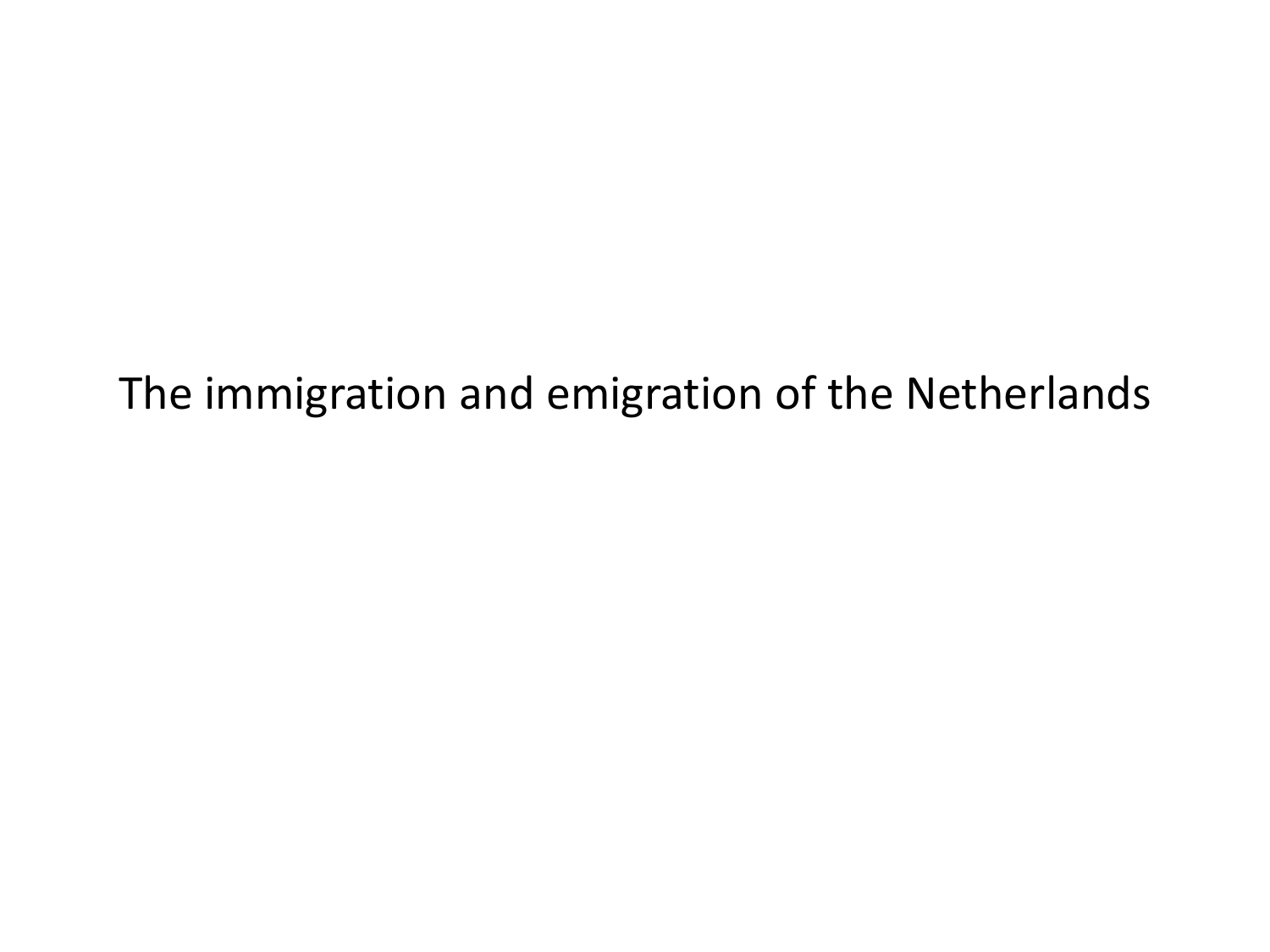The immigration and emigration of the Netherlands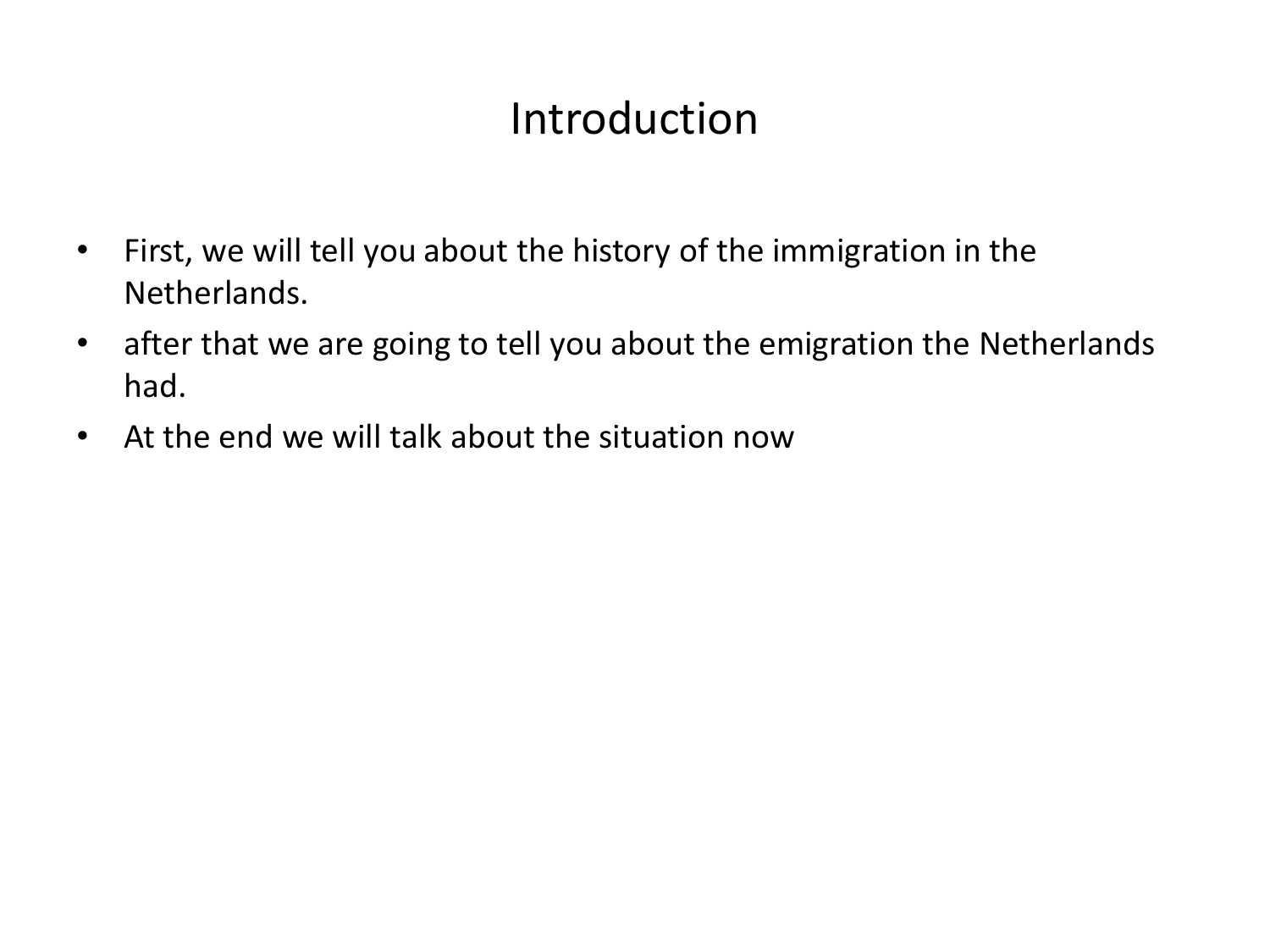#### Introduction

- First, we will tell you about the history of the immigration in the Netherlands.
- after that we are going to tell you about the emigration the Netherlands had.
- At the end we will talk about the situation now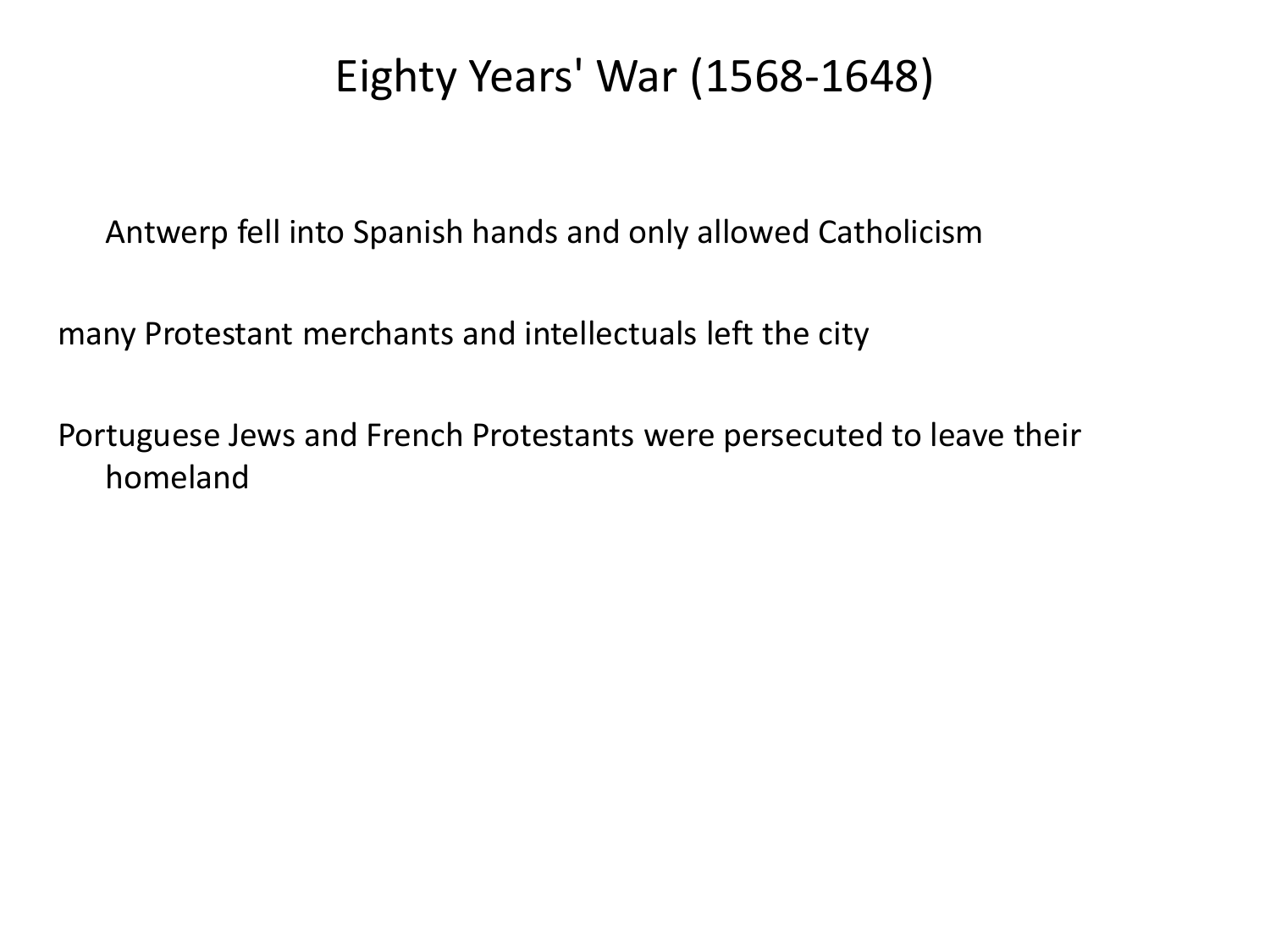#### Eighty Years' War (1568-1648)

Antwerp fell into Spanish hands and only allowed Catholicism

many Protestant merchants and intellectuals left the city

Portuguese Jews and French Protestants were persecuted to leave their homeland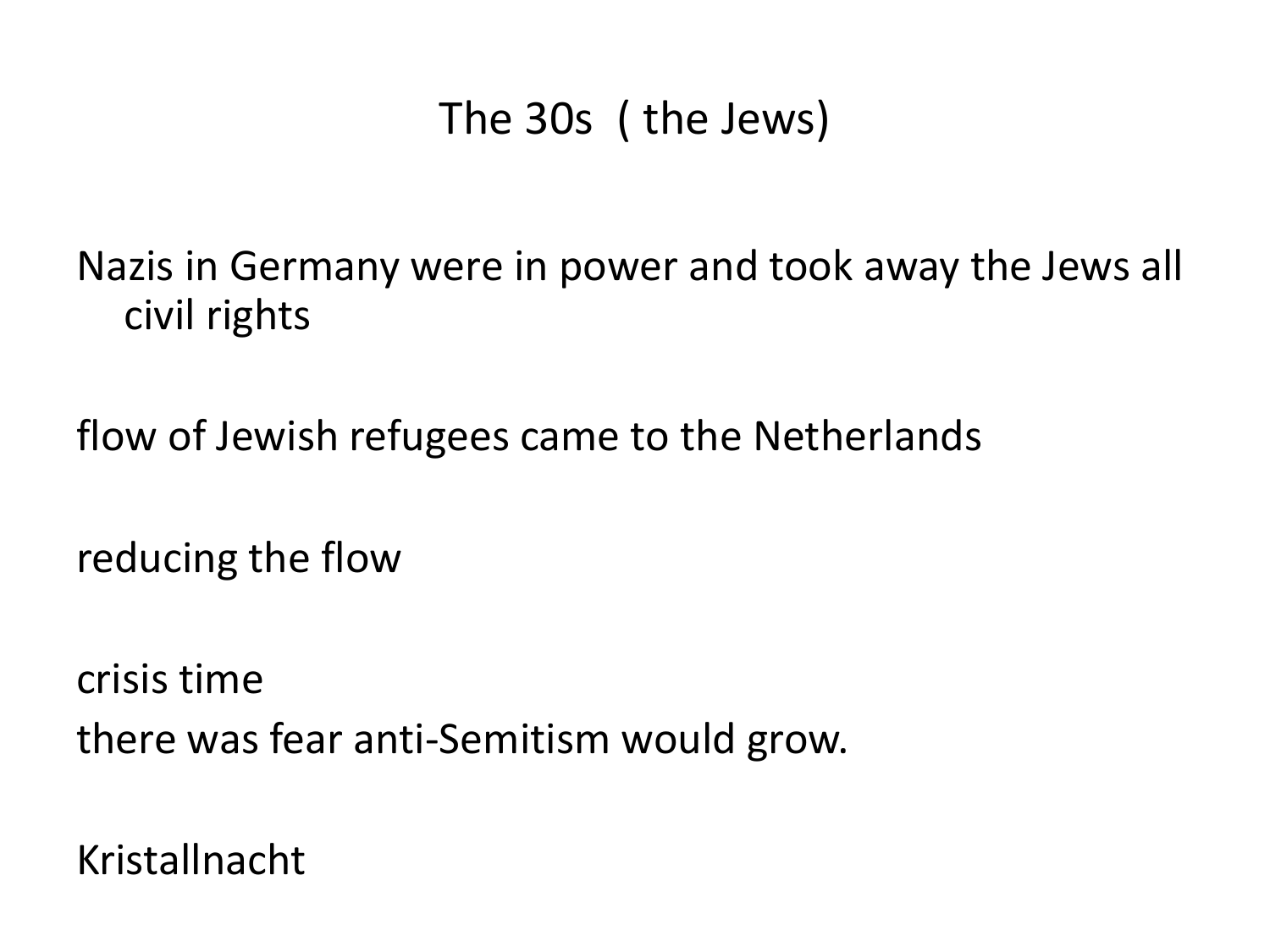## The 30s ( the Jews)

Nazis in Germany were in power and took away the Jews all civil rights

flow of Jewish refugees came to the Netherlands

reducing the flow

crisis time there was fear anti-Semitism would grow.

Kristallnacht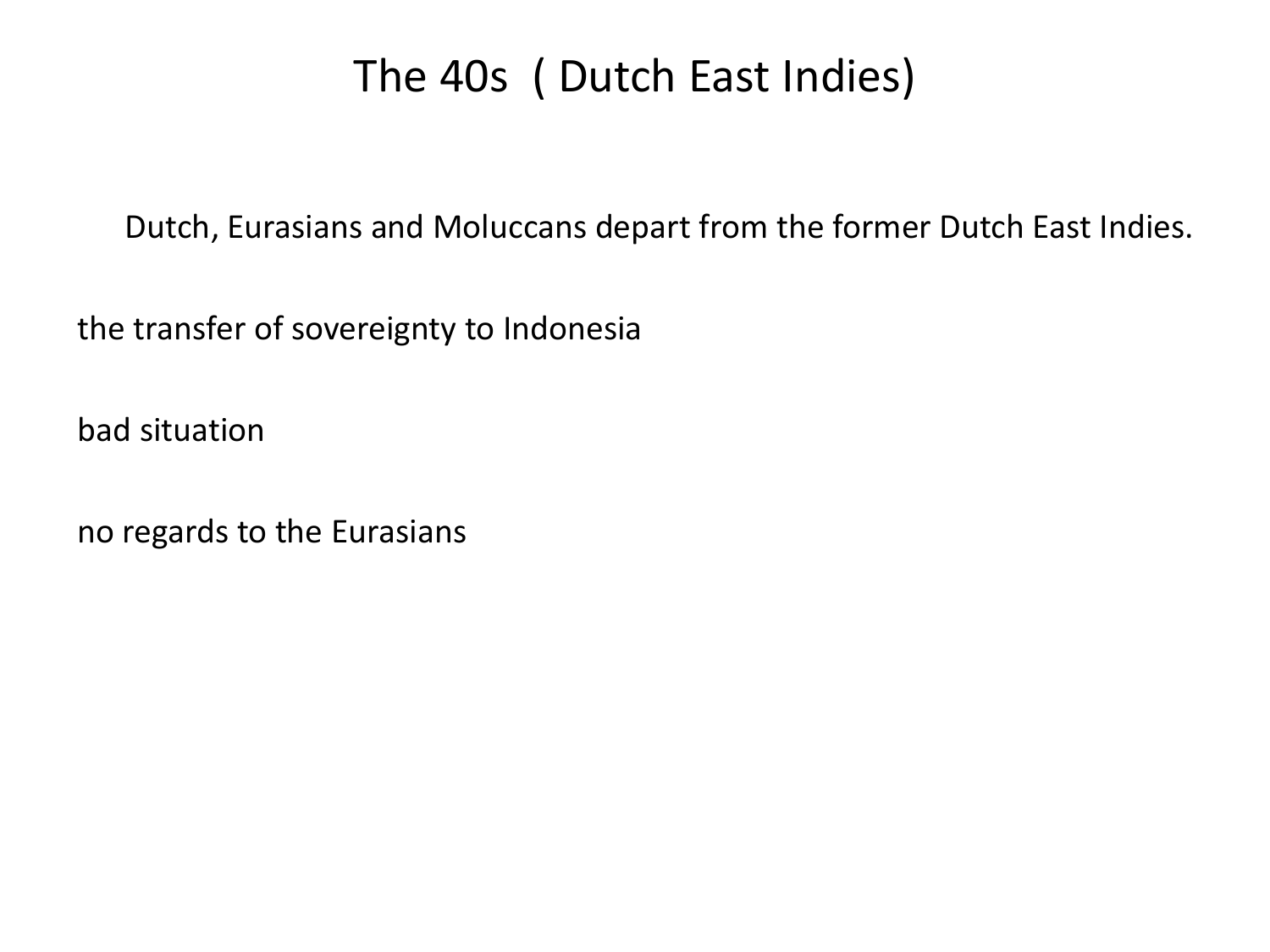## The 40s ( Dutch East Indies)

Dutch, Eurasians and Moluccans depart from the former Dutch East Indies.

the transfer of sovereignty to Indonesia

bad situation

no regards to the Eurasians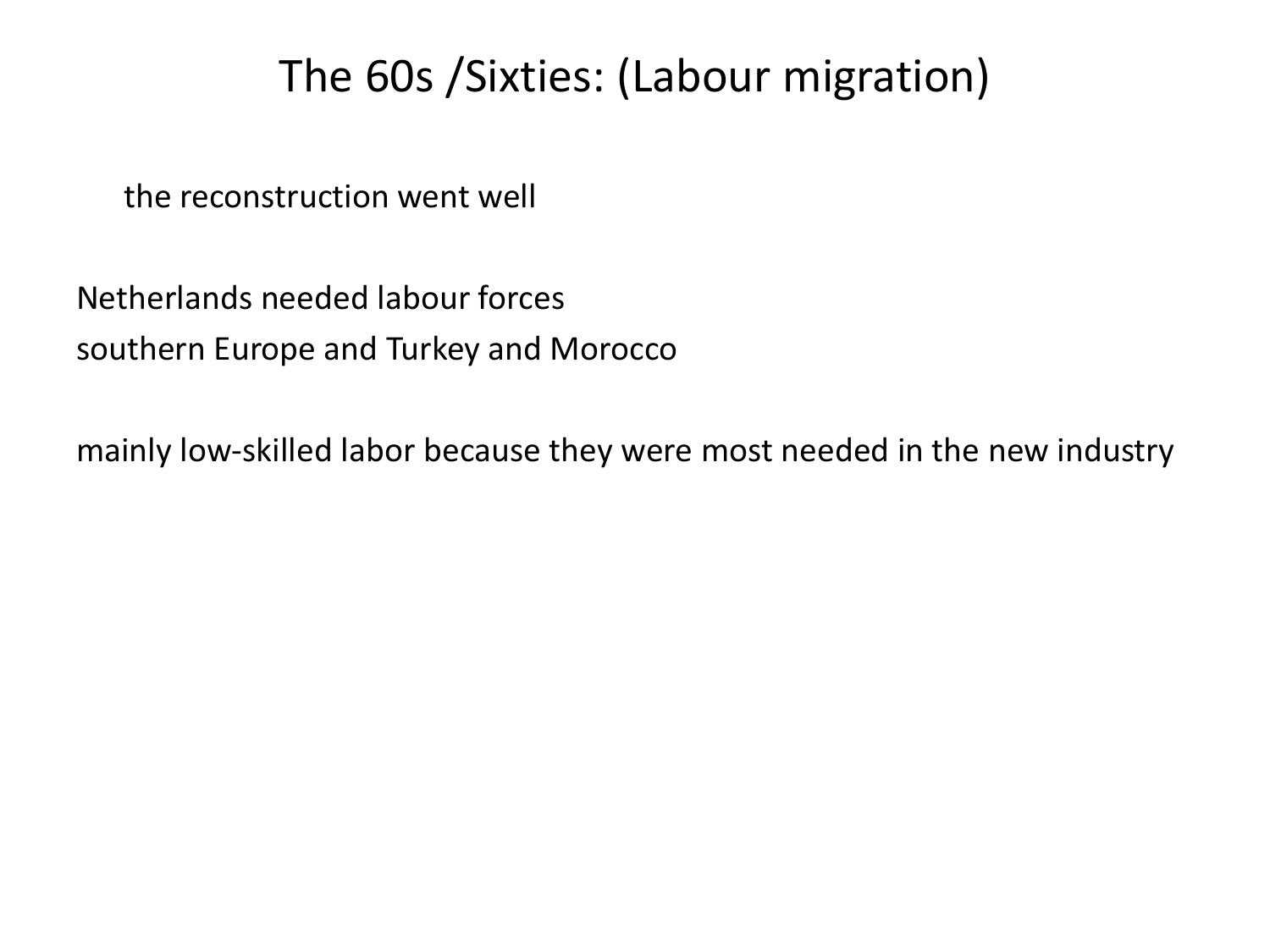## The 60s /Sixties: (Labour migration)

the reconstruction went well

Netherlands needed labour forces southern Europe and Turkey and Morocco

mainly low-skilled labor because they were most needed in the new industry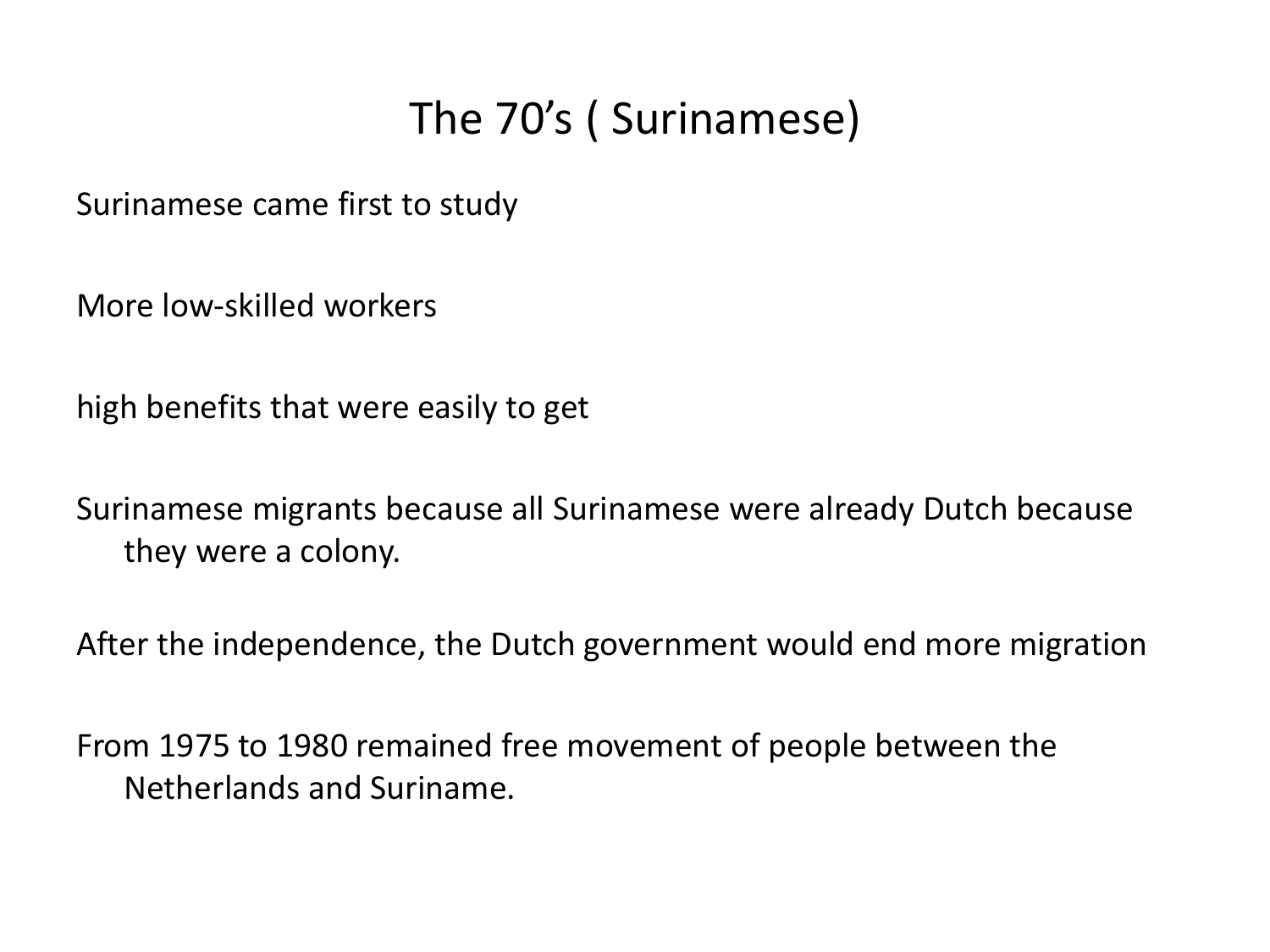# The 70's ( Surinamese)

Surinamese came first to study

More low-skilled workers

high benefits that were easily to get

Surinamese migrants because all Surinamese were already Dutch because they were a colony.

After the independence, the Dutch government would end more migration

From 1975 to 1980 remained free movement of people between the Netherlands and Suriname.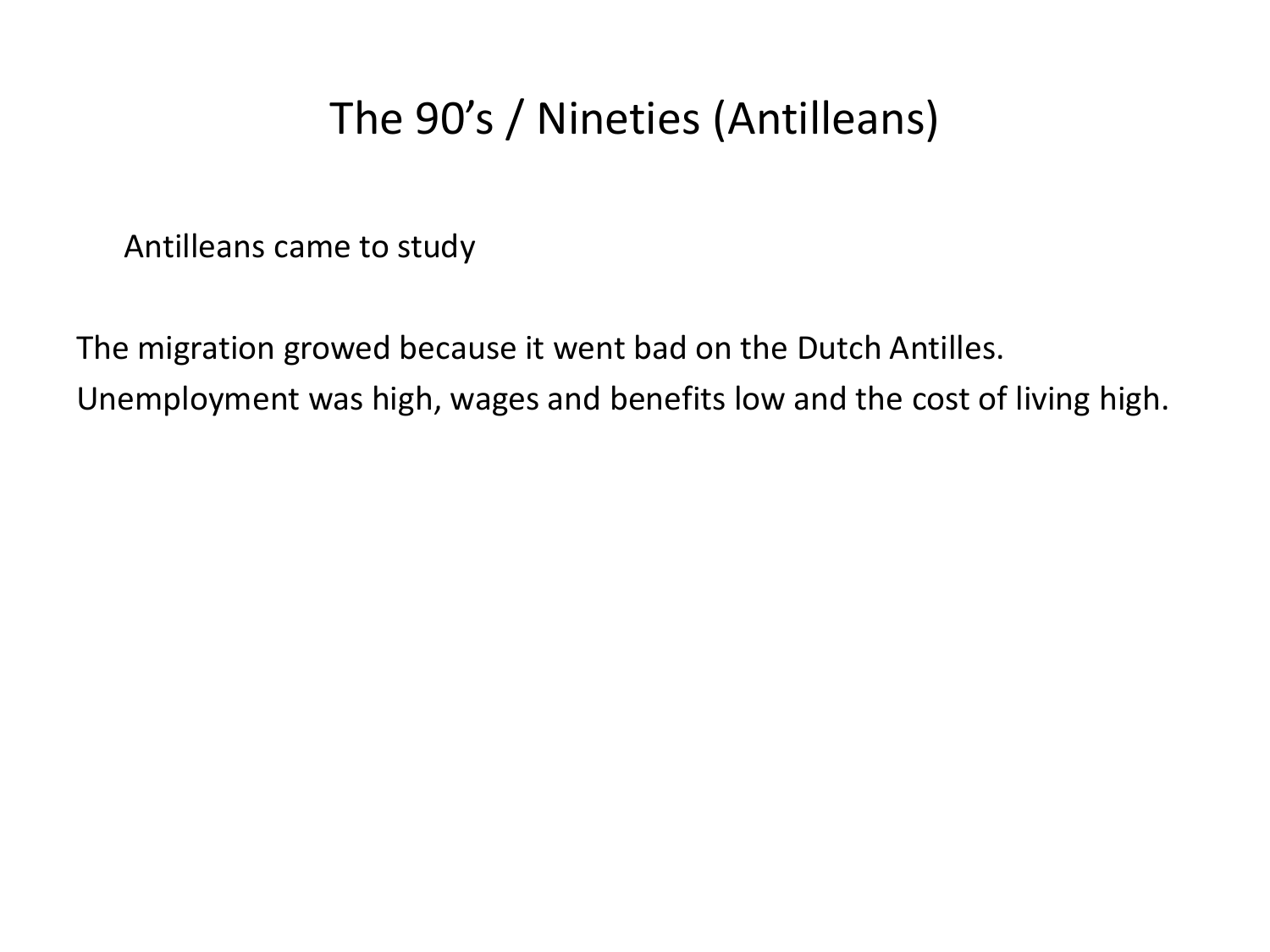# The 90's / Nineties (Antilleans)

Antilleans came to study

The migration growed because it went bad on the Dutch Antilles. Unemployment was high, wages and benefits low and the cost of living high.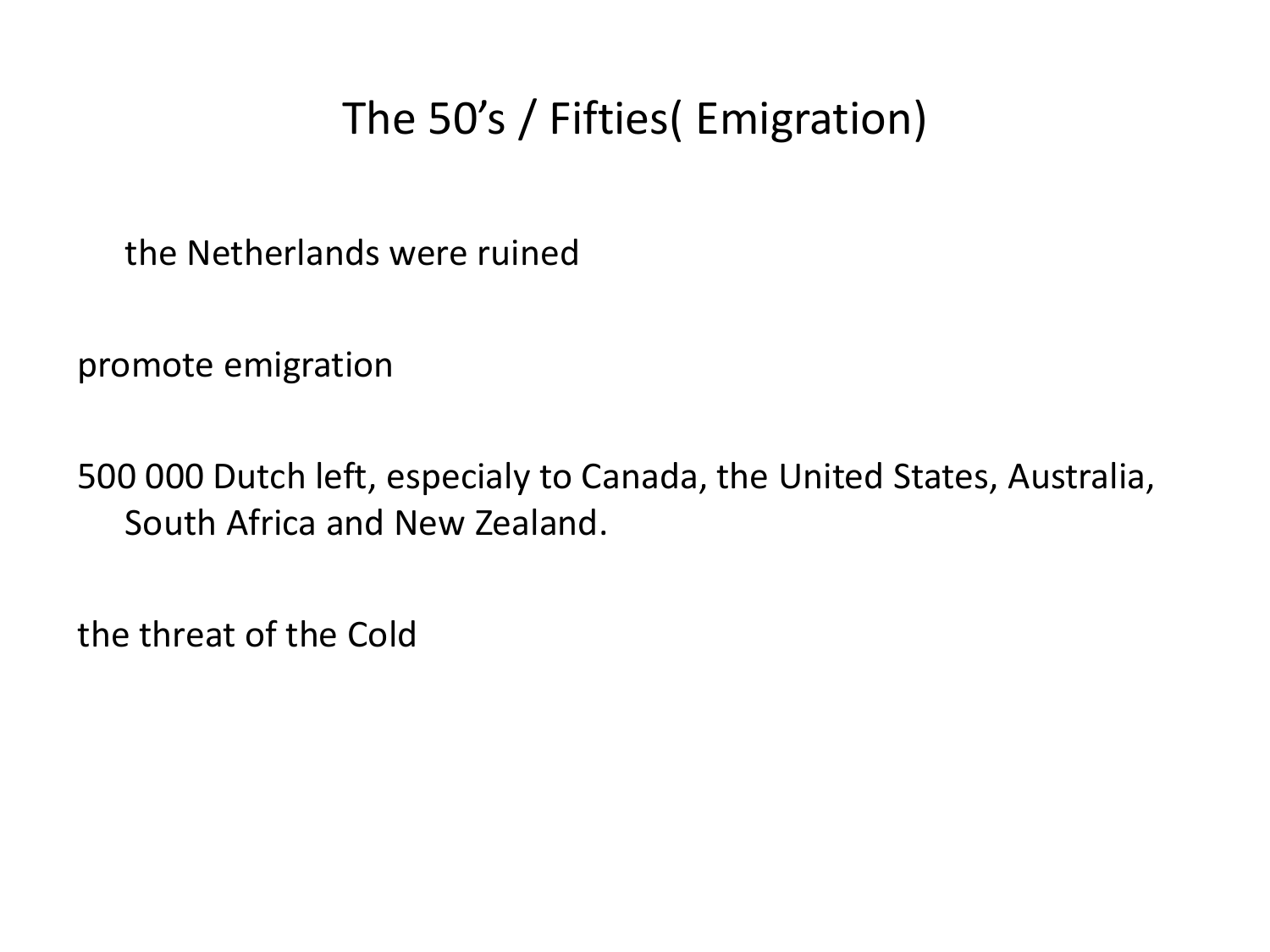# The 50's / Fifties( Emigration)

the Netherlands were ruined

promote emigration

500 000 Dutch left, especialy to Canada, the United States, Australia, South Africa and New Zealand.

the threat of the Cold